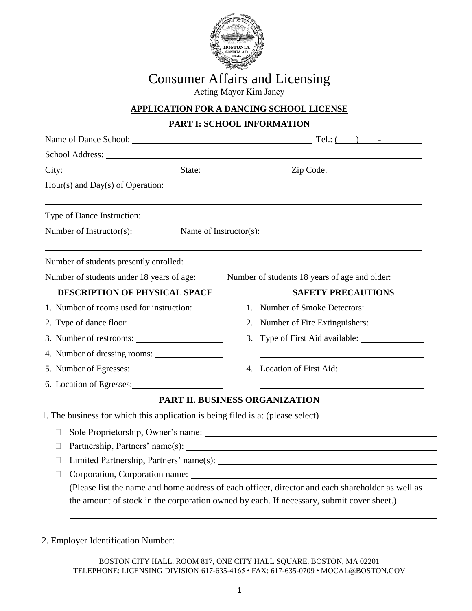

## Consumer Affairs and Licensing

Acting Mayor Kim Janey

## **APPLICATION FOR A DANCING SCHOOL LICENSE**

## **PART I: SCHOOL INFORMATION**

| School Address: Note that the state of the state of the state of the state of the state of the state of the state of the state of the state of the state of the state of the state of the state of the state of the state of t |  |                                                                        |                                                                                                  |  |
|--------------------------------------------------------------------------------------------------------------------------------------------------------------------------------------------------------------------------------|--|------------------------------------------------------------------------|--------------------------------------------------------------------------------------------------|--|
|                                                                                                                                                                                                                                |  |                                                                        |                                                                                                  |  |
|                                                                                                                                                                                                                                |  |                                                                        |                                                                                                  |  |
|                                                                                                                                                                                                                                |  |                                                                        |                                                                                                  |  |
|                                                                                                                                                                                                                                |  | Number of Instructor(s): Name of Instructor(s): Name of Instructor(s): |                                                                                                  |  |
|                                                                                                                                                                                                                                |  |                                                                        | Number of students presently enrolled:                                                           |  |
| Number of students under 18 years of age: Number of students 18 years of age and older:                                                                                                                                        |  |                                                                        |                                                                                                  |  |
| <b>DESCRIPTION OF PHYSICAL SPACE</b>                                                                                                                                                                                           |  |                                                                        | <b>SAFETY PRECAUTIONS</b>                                                                        |  |
| 1. Number of rooms used for instruction: _______                                                                                                                                                                               |  |                                                                        | 1. Number of Smoke Detectors:                                                                    |  |
|                                                                                                                                                                                                                                |  |                                                                        | 2. Number of Fire Extinguishers:                                                                 |  |
| 3. Number of restrooms:                                                                                                                                                                                                        |  |                                                                        |                                                                                                  |  |
| 4. Number of dressing rooms:                                                                                                                                                                                                   |  |                                                                        |                                                                                                  |  |
| 5. Number of Egresses:                                                                                                                                                                                                         |  |                                                                        |                                                                                                  |  |
| 6. Location of Egresses:                                                                                                                                                                                                       |  |                                                                        |                                                                                                  |  |
|                                                                                                                                                                                                                                |  |                                                                        | PART II. BUSINESS ORGANIZATION                                                                   |  |
| 1. The business for which this application is being filed is a: (please select)                                                                                                                                                |  |                                                                        |                                                                                                  |  |
| П                                                                                                                                                                                                                              |  |                                                                        |                                                                                                  |  |
| $\Box$                                                                                                                                                                                                                         |  |                                                                        |                                                                                                  |  |
| П                                                                                                                                                                                                                              |  |                                                                        |                                                                                                  |  |
| $\mathbf{L}$                                                                                                                                                                                                                   |  |                                                                        |                                                                                                  |  |
|                                                                                                                                                                                                                                |  |                                                                        | (Please list the name and home address of each officer, director and each shareholder as well as |  |
|                                                                                                                                                                                                                                |  |                                                                        | the amount of stock in the corporation owned by each. If necessary, submit cover sheet.)         |  |
|                                                                                                                                                                                                                                |  |                                                                        |                                                                                                  |  |

2. Employer Identification Number:

BOSTON CITY HALL, ROOM 817, ONE CITY HALL SQUARE, BOSTON, MA 02201 TELEPHONE: LICENSING DIVISION 617-635-4165 • FAX: 617-635-0709 • MOCAL@BOSTON.GOV